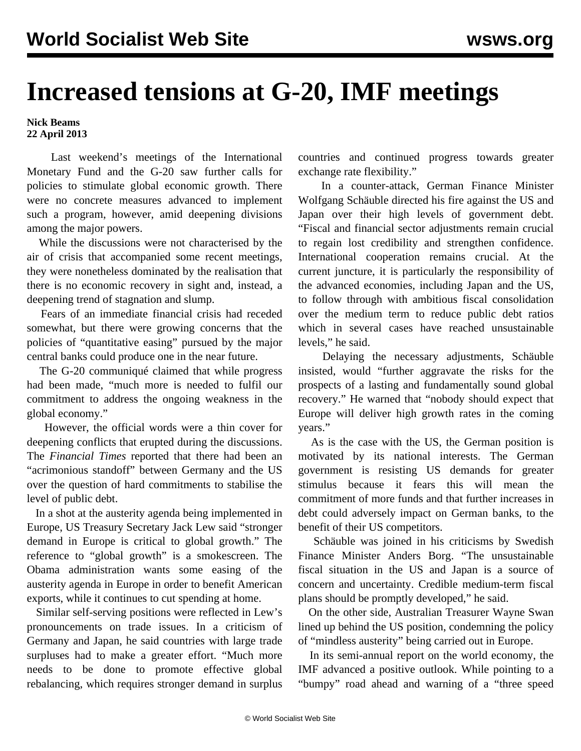## **Increased tensions at G-20, IMF meetings**

**Nick Beams 22 April 2013**

 Last weekend's meetings of the International Monetary Fund and the G-20 saw further calls for policies to stimulate global economic growth. There were no concrete measures advanced to implement such a program, however, amid deepening divisions among the major powers.

 While the discussions were not characterised by the air of crisis that accompanied some recent meetings, they were nonetheless dominated by the realisation that there is no economic recovery in sight and, instead, a deepening trend of stagnation and slump.

 Fears of an immediate financial crisis had receded somewhat, but there were growing concerns that the policies of "quantitative easing" pursued by the major central banks could produce one in the near future.

 The G-20 communiqué claimed that while progress had been made, "much more is needed to fulfil our commitment to address the ongoing weakness in the global economy."

 However, the official words were a thin cover for deepening conflicts that erupted during the discussions. The *Financial Times* reported that there had been an "acrimonious standoff" between Germany and the US over the question of hard commitments to stabilise the level of public debt.

 In a shot at the austerity agenda being implemented in Europe, US Treasury Secretary Jack Lew said "stronger demand in Europe is critical to global growth." The reference to "global growth" is a smokescreen. The Obama administration wants some easing of the austerity agenda in Europe in order to benefit American exports, while it continues to cut spending at home.

 Similar self-serving positions were reflected in Lew's pronouncements on trade issues. In a criticism of Germany and Japan, he said countries with large trade surpluses had to make a greater effort. "Much more needs to be done to promote effective global rebalancing, which requires stronger demand in surplus countries and continued progress towards greater exchange rate flexibility."

 In a counter-attack, German Finance Minister Wolfgang Schäuble directed his fire against the US and Japan over their high levels of government debt. "Fiscal and financial sector adjustments remain crucial to regain lost credibility and strengthen confidence. International cooperation remains crucial. At the current juncture, it is particularly the responsibility of the advanced economies, including Japan and the US, to follow through with ambitious fiscal consolidation over the medium term to reduce public debt ratios which in several cases have reached unsustainable levels," he said.

 Delaying the necessary adjustments, Schäuble insisted, would "further aggravate the risks for the prospects of a lasting and fundamentally sound global recovery." He warned that "nobody should expect that Europe will deliver high growth rates in the coming years."

 As is the case with the US, the German position is motivated by its national interests. The German government is resisting US demands for greater stimulus because it fears this will mean the commitment of more funds and that further increases in debt could adversely impact on German banks, to the benefit of their US competitors.

 Schäuble was joined in his criticisms by Swedish Finance Minister Anders Borg. "The unsustainable fiscal situation in the US and Japan is a source of concern and uncertainty. Credible medium-term fiscal plans should be promptly developed," he said.

 On the other side, Australian Treasurer Wayne Swan lined up behind the US position, condemning the policy of "mindless austerity" being carried out in Europe.

 In its semi-annual report on the world economy, the IMF advanced a positive outlook. While pointing to a "bumpy" road ahead and warning of a "three speed